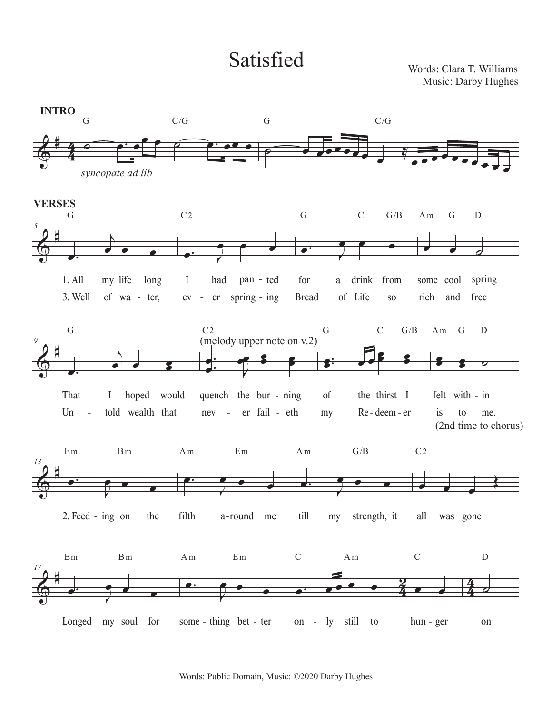## Satisfied Words: Clara T. Williams

Music: Darby Hughes